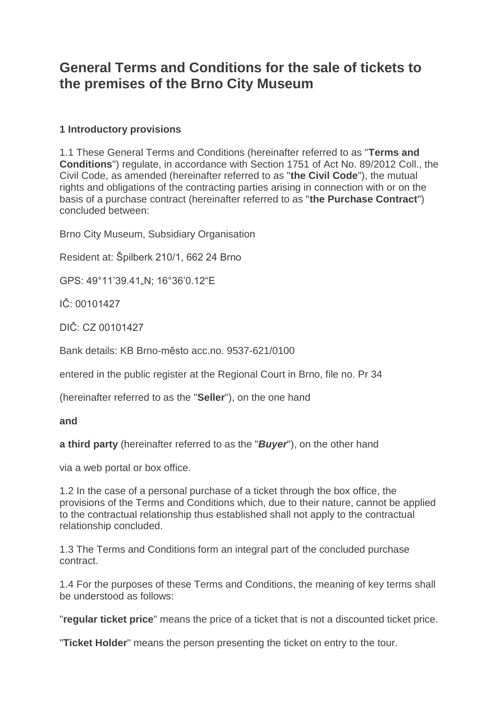# **General Terms and Conditions for the sale of tickets to the premises of the Brno City Museum**

## **1 Introductory provisions**

1.1 These General Terms and Conditions (hereinafter referred to as "**Terms and Conditions**") regulate, in accordance with Section 1751 of Act No. 89/2012 Coll., the Civil Code, as amended (hereinafter referred to as "**the Civil Code**"), the mutual rights and obligations of the contracting parties arising in connection with or on the basis of a purchase contract (hereinafter referred to as "**the Purchase Contract**") concluded between:

Brno City Museum, Subsidiary Organisation

Resident at: Špilberk 210/1, 662 24 Brno

GPS: 49°11'39.41 .N; 16°36'0.12"E

IČ: 00101427

DIČ: CZ 00101427

Bank details: KB Brno-město acc.no. 9537-621/0100

entered in the public register at the Regional Court in Brno, file no. Pr 34

(hereinafter referred to as the "**Seller**"), on the one hand

**and**

**a third party** (hereinafter referred to as the "*Buyer*"), on the other hand

via a web portal or box office.

1.2 In the case of a personal purchase of a ticket through the box office, the provisions of the Terms and Conditions which, due to their nature, cannot be applied to the contractual relationship thus established shall not apply to the contractual relationship concluded.

1.3 The Terms and Conditions form an integral part of the concluded purchase contract.

1.4 For the purposes of these Terms and Conditions, the meaning of key terms shall be understood as follows:

"**regular ticket price**" means the price of a ticket that is not a discounted ticket price.

"**Ticket Holder**" means the person presenting the ticket on entry to the tour.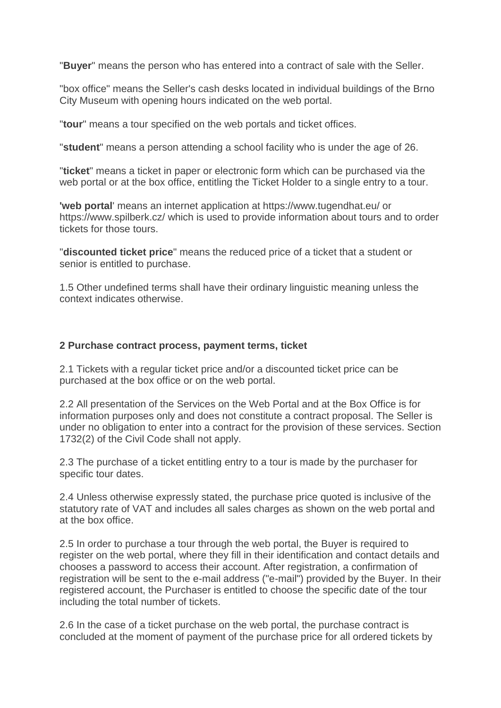"**Buyer**" means the person who has entered into a contract of sale with the Seller.

"box office" means the Seller's cash desks located in individual buildings of the Brno City Museum with opening hours indicated on the web portal.

"**tour**" means a tour specified on the web portals and ticket offices.

"**student**" means a person attending a school facility who is under the age of 26.

"**ticket**" means a ticket in paper or electronic form which can be purchased via the web portal or at the box office, entitling the Ticket Holder to a single entry to a tour.

**'web portal**' means an internet application at https://www.tugendhat.eu/ or https://www.spilberk.cz/ which is used to provide information about tours and to order tickets for those tours.

"**discounted ticket price**" means the reduced price of a ticket that a student or senior is entitled to purchase.

1.5 Other undefined terms shall have their ordinary linguistic meaning unless the context indicates otherwise.

#### **2 Purchase contract process, payment terms, ticket**

2.1 Tickets with a regular ticket price and/or a discounted ticket price can be purchased at the box office or on the web portal.

2.2 All presentation of the Services on the Web Portal and at the Box Office is for information purposes only and does not constitute a contract proposal. The Seller is under no obligation to enter into a contract for the provision of these services. Section 1732(2) of the Civil Code shall not apply.

2.3 The purchase of a ticket entitling entry to a tour is made by the purchaser for specific tour dates.

2.4 Unless otherwise expressly stated, the purchase price quoted is inclusive of the statutory rate of VAT and includes all sales charges as shown on the web portal and at the box office.

2.5 In order to purchase a tour through the web portal, the Buyer is required to register on the web portal, where they fill in their identification and contact details and chooses a password to access their account. After registration, a confirmation of registration will be sent to the e-mail address ("e-mail") provided by the Buyer. In their registered account, the Purchaser is entitled to choose the specific date of the tour including the total number of tickets.

2.6 In the case of a ticket purchase on the web portal, the purchase contract is concluded at the moment of payment of the purchase price for all ordered tickets by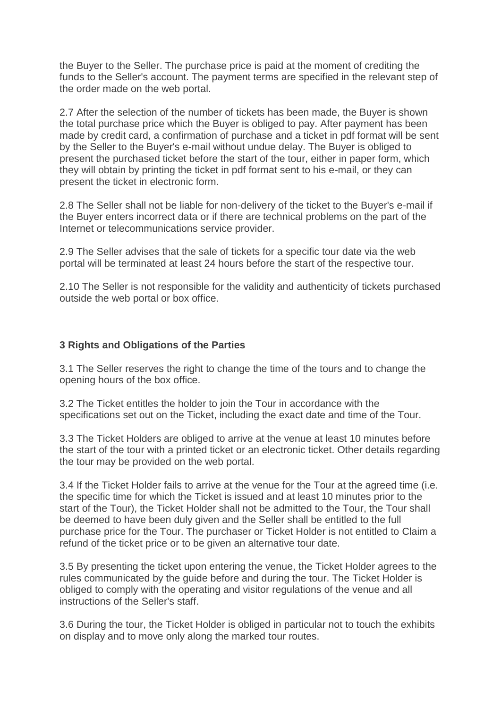the Buyer to the Seller. The purchase price is paid at the moment of crediting the funds to the Seller's account. The payment terms are specified in the relevant step of the order made on the web portal.

2.7 After the selection of the number of tickets has been made, the Buyer is shown the total purchase price which the Buyer is obliged to pay. After payment has been made by credit card, a confirmation of purchase and a ticket in pdf format will be sent by the Seller to the Buyer's e-mail without undue delay. The Buyer is obliged to present the purchased ticket before the start of the tour, either in paper form, which they will obtain by printing the ticket in pdf format sent to his e-mail, or they can present the ticket in electronic form.

2.8 The Seller shall not be liable for non-delivery of the ticket to the Buyer's e-mail if the Buyer enters incorrect data or if there are technical problems on the part of the Internet or telecommunications service provider.

2.9 The Seller advises that the sale of tickets for a specific tour date via the web portal will be terminated at least 24 hours before the start of the respective tour.

2.10 The Seller is not responsible for the validity and authenticity of tickets purchased outside the web portal or box office.

#### **3 Rights and Obligations of the Parties**

3.1 The Seller reserves the right to change the time of the tours and to change the opening hours of the box office.

3.2 The Ticket entitles the holder to join the Tour in accordance with the specifications set out on the Ticket, including the exact date and time of the Tour.

3.3 The Ticket Holders are obliged to arrive at the venue at least 10 minutes before the start of the tour with a printed ticket or an electronic ticket. Other details regarding the tour may be provided on the web portal.

3.4 If the Ticket Holder fails to arrive at the venue for the Tour at the agreed time (i.e. the specific time for which the Ticket is issued and at least 10 minutes prior to the start of the Tour), the Ticket Holder shall not be admitted to the Tour, the Tour shall be deemed to have been duly given and the Seller shall be entitled to the full purchase price for the Tour. The purchaser or Ticket Holder is not entitled to Claim a refund of the ticket price or to be given an alternative tour date.

3.5 By presenting the ticket upon entering the venue, the Ticket Holder agrees to the rules communicated by the guide before and during the tour. The Ticket Holder is obliged to comply with the operating and visitor regulations of the venue and all instructions of the Seller's staff.

3.6 During the tour, the Ticket Holder is obliged in particular not to touch the exhibits on display and to move only along the marked tour routes.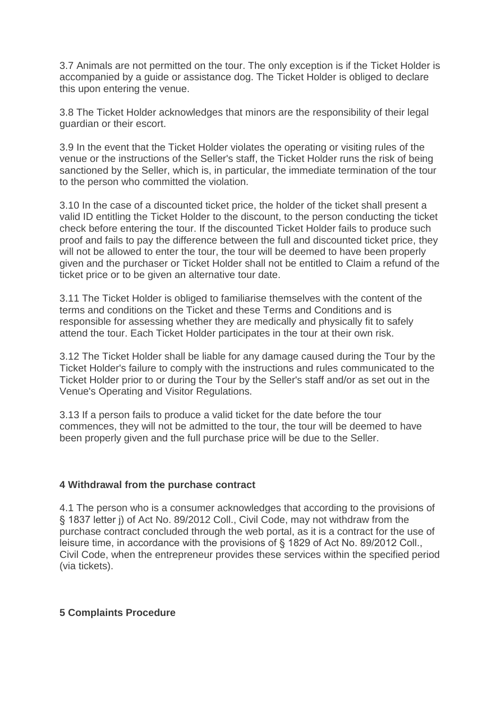3.7 Animals are not permitted on the tour. The only exception is if the Ticket Holder is accompanied by a guide or assistance dog. The Ticket Holder is obliged to declare this upon entering the venue.

3.8 The Ticket Holder acknowledges that minors are the responsibility of their legal guardian or their escort.

3.9 In the event that the Ticket Holder violates the operating or visiting rules of the venue or the instructions of the Seller's staff, the Ticket Holder runs the risk of being sanctioned by the Seller, which is, in particular, the immediate termination of the tour to the person who committed the violation.

3.10 In the case of a discounted ticket price, the holder of the ticket shall present a valid ID entitling the Ticket Holder to the discount, to the person conducting the ticket check before entering the tour. If the discounted Ticket Holder fails to produce such proof and fails to pay the difference between the full and discounted ticket price, they will not be allowed to enter the tour, the tour will be deemed to have been properly given and the purchaser or Ticket Holder shall not be entitled to Claim a refund of the ticket price or to be given an alternative tour date.

3.11 The Ticket Holder is obliged to familiarise themselves with the content of the terms and conditions on the Ticket and these Terms and Conditions and is responsible for assessing whether they are medically and physically fit to safely attend the tour. Each Ticket Holder participates in the tour at their own risk.

3.12 The Ticket Holder shall be liable for any damage caused during the Tour by the Ticket Holder's failure to comply with the instructions and rules communicated to the Ticket Holder prior to or during the Tour by the Seller's staff and/or as set out in the Venue's Operating and Visitor Regulations.

3.13 If a person fails to produce a valid ticket for the date before the tour commences, they will not be admitted to the tour, the tour will be deemed to have been properly given and the full purchase price will be due to the Seller.

#### **4 Withdrawal from the purchase contract**

4.1 The person who is a consumer acknowledges that according to the provisions of § 1837 letter j) of Act No. 89/2012 Coll., Civil Code, may not withdraw from the purchase contract concluded through the web portal, as it is a contract for the use of leisure time, in accordance with the provisions of § 1829 of Act No. 89/2012 Coll., Civil Code, when the entrepreneur provides these services within the specified period (via tickets).

# **5 Complaints Procedure**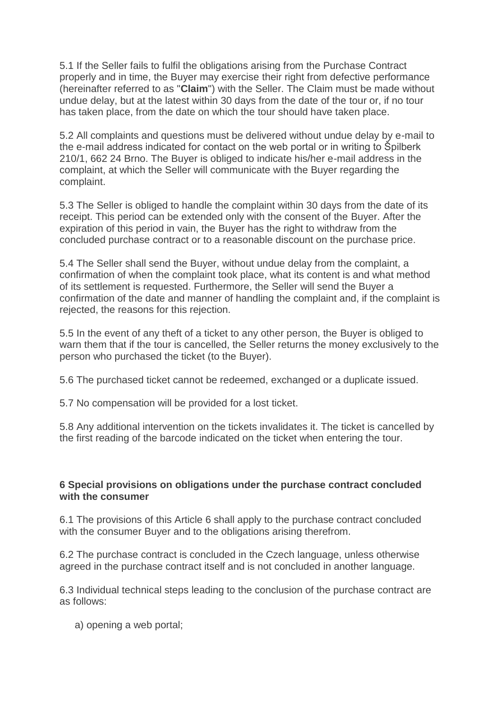5.1 If the Seller fails to fulfil the obligations arising from the Purchase Contract properly and in time, the Buyer may exercise their right from defective performance (hereinafter referred to as "**Claim**") with the Seller. The Claim must be made without undue delay, but at the latest within 30 days from the date of the tour or, if no tour has taken place, from the date on which the tour should have taken place.

5.2 All complaints and questions must be delivered without undue delay by e-mail to the e-mail address indicated for contact on the web portal or in writing to Špilberk 210/1, 662 24 Brno. The Buyer is obliged to indicate his/her e-mail address in the complaint, at which the Seller will communicate with the Buyer regarding the complaint.

5.3 The Seller is obliged to handle the complaint within 30 days from the date of its receipt. This period can be extended only with the consent of the Buyer. After the expiration of this period in vain, the Buyer has the right to withdraw from the concluded purchase contract or to a reasonable discount on the purchase price.

5.4 The Seller shall send the Buyer, without undue delay from the complaint, a confirmation of when the complaint took place, what its content is and what method of its settlement is requested. Furthermore, the Seller will send the Buyer a confirmation of the date and manner of handling the complaint and, if the complaint is rejected, the reasons for this rejection.

5.5 In the event of any theft of a ticket to any other person, the Buyer is obliged to warn them that if the tour is cancelled, the Seller returns the money exclusively to the person who purchased the ticket (to the Buyer).

5.6 The purchased ticket cannot be redeemed, exchanged or a duplicate issued.

5.7 No compensation will be provided for a lost ticket.

5.8 Any additional intervention on the tickets invalidates it. The ticket is cancelled by the first reading of the barcode indicated on the ticket when entering the tour.

#### **6 Special provisions on obligations under the purchase contract concluded with the consumer**

6.1 The provisions of this Article 6 shall apply to the purchase contract concluded with the consumer Buyer and to the obligations arising therefrom.

6.2 The purchase contract is concluded in the Czech language, unless otherwise agreed in the purchase contract itself and is not concluded in another language.

6.3 Individual technical steps leading to the conclusion of the purchase contract are as follows:

a) opening a web portal;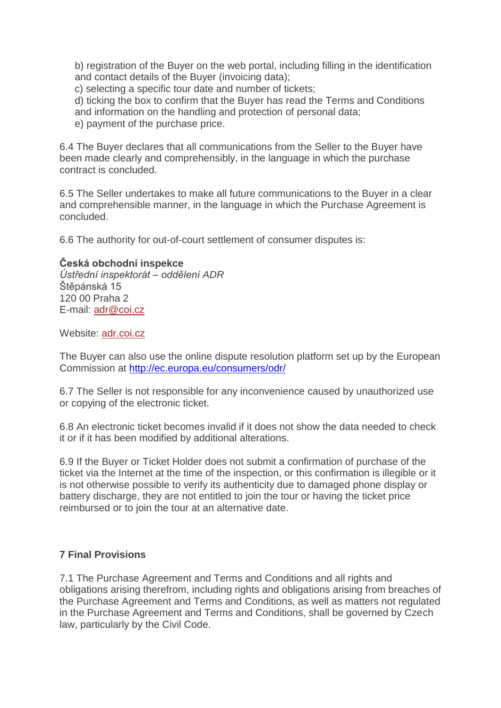b) registration of the Buyer on the web portal, including filling in the identification and contact details of the Buyer (invoicing data);

c) selecting a specific tour date and number of tickets;

d) ticking the box to confirm that the Buyer has read the Terms and Conditions and information on the handling and protection of personal data;

e) payment of the purchase price.

6.4 The Buyer declares that all communications from the Seller to the Buyer have been made clearly and comprehensibly, in the language in which the purchase contract is concluded.

6.5 The Seller undertakes to make all future communications to the Buyer in a clear and comprehensible manner, in the language in which the Purchase Agreement is concluded.

6.6 The authority for out-of-court settlement of consumer disputes is:

### **Česká obchodní inspekce**

*Ústřední inspektorát – oddělení ADR* Štěpánská 15 120 00 Praha 2 E-mail: [adr@coi.cz](http://www.coi.cz/cz/pro-podnikatele/informace-pro-prodejce/mimosoudni-reseni-spotrebitelskych-sporu-adr/)

Website: [adr.coi.cz](https://adr.coi.cz/)

The Buyer can also use the online dispute resolution platform set up by the European Commission at<http://ec.europa.eu/consumers/odr/>

6.7 The Seller is not responsible for any inconvenience caused by unauthorized use or copying of the electronic ticket.

6.8 An electronic ticket becomes invalid if it does not show the data needed to check it or if it has been modified by additional alterations.

6.9 If the Buyer or Ticket Holder does not submit a confirmation of purchase of the ticket via the Internet at the time of the inspection, or this confirmation is illegible or it is not otherwise possible to verify its authenticity due to damaged phone display or battery discharge, they are not entitled to join the tour or having the ticket price reimbursed or to join the tour at an alternative date.

# **7 Final Provisions**

7.1 The Purchase Agreement and Terms and Conditions and all rights and obligations arising therefrom, including rights and obligations arising from breaches of the Purchase Agreement and Terms and Conditions, as well as matters not regulated in the Purchase Agreement and Terms and Conditions, shall be governed by Czech law, particularly by the Civil Code.